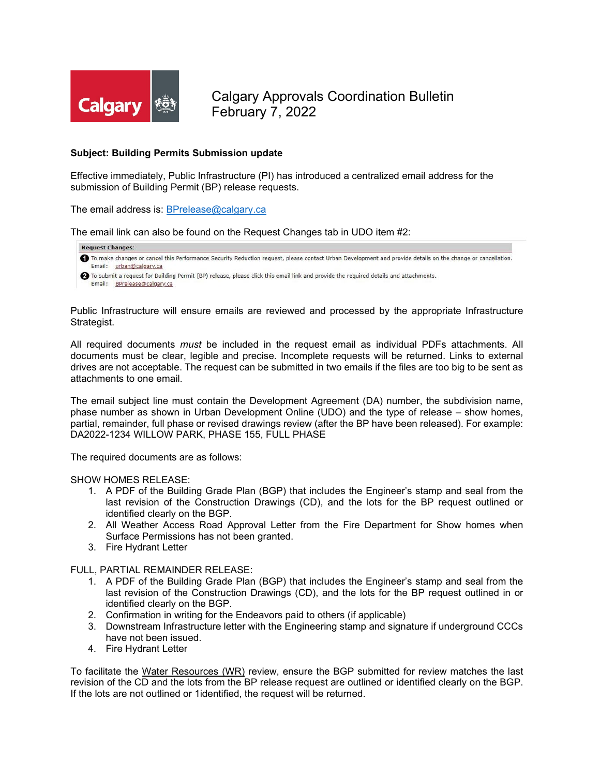

Calgary Approvals Coordination Bulletin February 7, 2022

## **Subject: Building Permits Submission update**

Effective immediately, Public Infrastructure (PI) has introduced a centralized email address for the submission of Building Permit (BP) release requests.

The email address is: [BPrelease@calgary.ca](mailto:BPrelease@calgary.ca)

The email link can also be found on the Request Changes tab in UDO item #2:

## **Request Changes:**

- To make changes or cancel this Performance Security Reduction request, please contact Urban Development and provide details on the change or cancellation. Email: urban@calgary.ca
- 2 To submit a request for Building Permit (BP) release, please click this email link and provide the required details and attachments. Email: BPrelease@calgary.ca

Public Infrastructure will ensure emails are reviewed and processed by the appropriate Infrastructure Strategist.

All required documents *must* be included in the request email as individual PDFs attachments. All documents must be clear, legible and precise. Incomplete requests will be returned. Links to external drives are not acceptable. The request can be submitted in two emails if the files are too big to be sent as attachments to one email.

The email subject line must contain the Development Agreement (DA) number, the subdivision name, phase number as shown in Urban Development Online (UDO) and the type of release – show homes, partial, remainder, full phase or revised drawings review (after the BP have been released). For example: DA2022-1234 WILLOW PARK, PHASE 155, FULL PHASE

The required documents are as follows:

## SHOW HOMES RELEASE:

- 1. A PDF of the Building Grade Plan (BGP) that includes the Engineer's stamp and seal from the last revision of the Construction Drawings (CD), and the lots for the BP request outlined or identified clearly on the BGP.
- 2. All Weather Access Road Approval Letter from the Fire Department for Show homes when Surface Permissions has not been granted.
- 3. Fire Hydrant Letter

FULL, PARTIAL REMAINDER RELEASE:

- 1. A PDF of the Building Grade Plan (BGP) that includes the Engineer's stamp and seal from the last revision of the Construction Drawings (CD), and the lots for the BP request outlined in or identified clearly on the BGP.
- 2. Confirmation in writing for the Endeavors paid to others (if applicable)
- 3. Downstream Infrastructure letter with the Engineering stamp and signature if underground CCCs have not been issued.
- 4. Fire Hydrant Letter

To facilitate the Water Resources (WR) review, ensure the BGP submitted for review matches the last revision of the CD and the lots from the BP release request are outlined or identified clearly on the BGP. If the lots are not outlined or 1identified, the request will be returned.